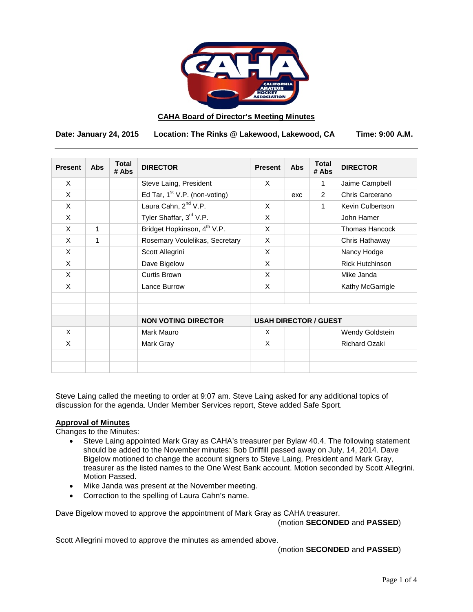

### **CAHA Board of Director's Meeting Minutes**

**Date: January 24, 2015 Location: The Rinks @ Lakewood, Lakewood, CA Time: 9:00 A.M.**

| <b>Present</b> | <b>Abs</b> | <b>Total</b><br># Abs | <b>DIRECTOR</b>                         | <b>Present</b>               | <b>Abs</b> | <b>Total</b><br># Abs | <b>DIRECTOR</b>        |
|----------------|------------|-----------------------|-----------------------------------------|------------------------------|------------|-----------------------|------------------------|
| X              |            |                       | Steve Laing, President                  | X                            |            | 1                     | Jaime Campbell         |
| X              |            |                       | Ed Tar, $1st$ V.P. (non-voting)         |                              | exc        | 2                     | Chris Carcerano        |
| X              |            |                       | Laura Cahn, 2 <sup>nd</sup> V.P.        | X                            |            | 1                     | Kevin Culbertson       |
| X              |            |                       | Tyler Shaffar, 3rd V.P.                 | X                            |            |                       | John Hamer             |
| X              | 1          |                       | Bridget Hopkinson, 4 <sup>th</sup> V.P. | X                            |            |                       | <b>Thomas Hancock</b>  |
| $\mathsf{x}$   | 1          |                       | Rosemary Voulelikas, Secretary          | X                            |            |                       | Chris Hathaway         |
| X              |            |                       | Scott Allegrini                         | X                            |            |                       | Nancy Hodge            |
| X              |            |                       | Dave Bigelow                            | X                            |            |                       | <b>Rick Hutchinson</b> |
| X              |            |                       | Curtis Brown                            | X                            |            |                       | Mike Janda             |
| X              |            |                       | Lance Burrow                            | X                            |            |                       | Kathy McGarrigle       |
|                |            |                       |                                         |                              |            |                       |                        |
|                |            |                       | <b>NON VOTING DIRECTOR</b>              | <b>USAH DIRECTOR / GUEST</b> |            |                       |                        |
| X              |            |                       | Mark Mauro                              | X                            |            |                       | Wendy Goldstein        |
| X              |            |                       | Mark Gray                               | X                            |            |                       | <b>Richard Ozaki</b>   |
|                |            |                       |                                         |                              |            |                       |                        |
|                |            |                       |                                         |                              |            |                       |                        |

Steve Laing called the meeting to order at 9:07 am. Steve Laing asked for any additional topics of discussion for the agenda. Under Member Services report, Steve added Safe Sport.

## **Approval of Minutes**

Changes to the Minutes:

- Steve Laing appointed Mark Gray as CAHA's treasurer per Bylaw 40.4. The following statement should be added to the November minutes: Bob Driffill passed away on July, 14, 2014. Dave Bigelow motioned to change the account signers to Steve Laing, President and Mark Gray, treasurer as the listed names to the One West Bank account. Motion seconded by Scott Allegrini. Motion Passed.
- Mike Janda was present at the November meeting.
- Correction to the spelling of Laura Cahn's name.

Dave Bigelow moved to approve the appointment of Mark Gray as CAHA treasurer.

(motion **SECONDED** and **PASSED**)

Scott Allegrini moved to approve the minutes as amended above.

(motion **SECONDED** and **PASSED**)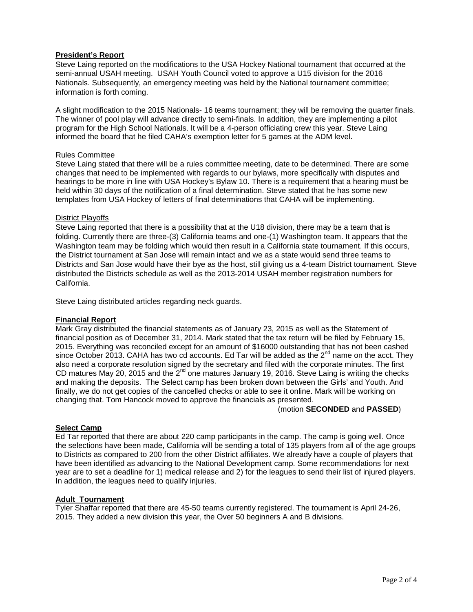# **President's Report**

Steve Laing reported on the modifications to the USA Hockey National tournament that occurred at the semi-annual USAH meeting. USAH Youth Council voted to approve a U15 division for the 2016 Nationals. Subsequently, an emergency meeting was held by the National tournament committee; information is forth coming.

A slight modification to the 2015 Nationals- 16 teams tournament; they will be removing the quarter finals. The winner of pool play will advance directly to semi-finals. In addition, they are implementing a pilot program for the High School Nationals. It will be a 4-person officiating crew this year. Steve Laing informed the board that he filed CAHA's exemption letter for 5 games at the ADM level.

### Rules Committee

Steve Laing stated that there will be a rules committee meeting, date to be determined. There are some changes that need to be implemented with regards to our bylaws, more specifically with disputes and hearings to be more in line with USA Hockey's Bylaw 10. There is a requirement that a hearing must be held within 30 days of the notification of a final determination. Steve stated that he has some new templates from USA Hockey of letters of final determinations that CAHA will be implementing.

## District Playoffs

Steve Laing reported that there is a possibility that at the U18 division, there may be a team that is folding. Currently there are three-(3) California teams and one-(1) Washington team. It appears that the Washington team may be folding which would then result in a California state tournament. If this occurs, the District tournament at San Jose will remain intact and we as a state would send three teams to Districts and San Jose would have their bye as the host, still giving us a 4-team District tournament. Steve distributed the Districts schedule as well as the 2013-2014 USAH member registration numbers for California.

Steve Laing distributed articles regarding neck guards.

## **Financial Report**

Mark Gray distributed the financial statements as of January 23, 2015 as well as the Statement of financial position as of December 31, 2014. Mark stated that the tax return will be filed by February 15, 2015. Everything was reconciled except for an amount of \$16000 outstanding that has not been cashed since October 2013. CAHA has two cd accounts. Ed Tar will be added as the  $2^{nd}$  name on the acct. They also need a corporate resolution signed by the secretary and filed with the corporate minutes. The first CD matures May 20, 2015 and the  $2^{nd}$  one matures January 19, 2016. Steve Laing is writing the checks and making the deposits. The Select camp has been broken down between the Girls' and Youth. And finally, we do not get copies of the cancelled checks or able to see it online. Mark will be working on changing that. Tom Hancock moved to approve the financials as presented.

## (motion **SECONDED** and **PASSED**)

## **Select Camp**

Ed Tar reported that there are about 220 camp participants in the camp. The camp is going well. Once the selections have been made, California will be sending a total of 135 players from all of the age groups to Districts as compared to 200 from the other District affiliates. We already have a couple of players that have been identified as advancing to the National Development camp. Some recommendations for next year are to set a deadline for 1) medical release and 2) for the leagues to send their list of injured players. In addition, the leagues need to qualify injuries.

# **Adult Tournament**

Tyler Shaffar reported that there are 45-50 teams currently registered. The tournament is April 24-26, 2015. They added a new division this year, the Over 50 beginners A and B divisions.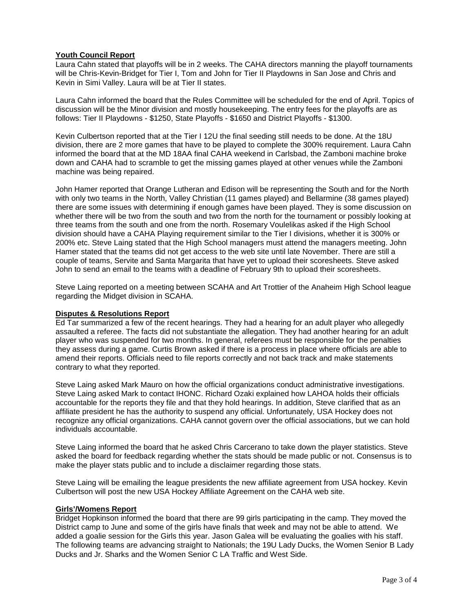# **Youth Council Report**

Laura Cahn stated that playoffs will be in 2 weeks. The CAHA directors manning the playoff tournaments will be Chris-Kevin-Bridget for Tier I, Tom and John for Tier II Playdowns in San Jose and Chris and Kevin in Simi Valley. Laura will be at Tier II states.

Laura Cahn informed the board that the Rules Committee will be scheduled for the end of April. Topics of discussion will be the Minor division and mostly housekeeping. The entry fees for the playoffs are as follows: Tier II Playdowns - \$1250, State Playoffs - \$1650 and District Playoffs - \$1300.

Kevin Culbertson reported that at the Tier I 12U the final seeding still needs to be done. At the 18U division, there are 2 more games that have to be played to complete the 300% requirement. Laura Cahn informed the board that at the MD 18AA final CAHA weekend in Carlsbad, the Zamboni machine broke down and CAHA had to scramble to get the missing games played at other venues while the Zamboni machine was being repaired.

John Hamer reported that Orange Lutheran and Edison will be representing the South and for the North with only two teams in the North, Valley Christian (11 games played) and Bellarmine (38 games played) there are some issues with determining if enough games have been played. They is some discussion on whether there will be two from the south and two from the north for the tournament or possibly looking at three teams from the south and one from the north. Rosemary Voulelikas asked if the High School division should have a CAHA Playing requirement similar to the Tier I divisions, whether it is 300% or 200% etc. Steve Laing stated that the High School managers must attend the managers meeting. John Hamer stated that the teams did not get access to the web site until late November. There are still a couple of teams, Servite and Santa Margarita that have yet to upload their scoresheets. Steve asked John to send an email to the teams with a deadline of February 9th to upload their scoresheets.

Steve Laing reported on a meeting between SCAHA and Art Trottier of the Anaheim High School league regarding the Midget division in SCAHA.

## **Disputes & Resolutions Report**

Ed Tar summarized a few of the recent hearings. They had a hearing for an adult player who allegedly assaulted a referee. The facts did not substantiate the allegation. They had another hearing for an adult player who was suspended for two months. In general, referees must be responsible for the penalties they assess during a game. Curtis Brown asked if there is a process in place where officials are able to amend their reports. Officials need to file reports correctly and not back track and make statements contrary to what they reported.

Steve Laing asked Mark Mauro on how the official organizations conduct administrative investigations. Steve Laing asked Mark to contact IHONC. Richard Ozaki explained how LAHOA holds their officials accountable for the reports they file and that they hold hearings. In addition, Steve clarified that as an affiliate president he has the authority to suspend any official. Unfortunately, USA Hockey does not recognize any official organizations. CAHA cannot govern over the official associations, but we can hold individuals accountable.

Steve Laing informed the board that he asked Chris Carcerano to take down the player statistics. Steve asked the board for feedback regarding whether the stats should be made public or not. Consensus is to make the player stats public and to include a disclaimer regarding those stats.

Steve Laing will be emailing the league presidents the new affiliate agreement from USA hockey. Kevin Culbertson will post the new USA Hockey Affiliate Agreement on the CAHA web site.

#### **Girls'/Womens Report**

Bridget Hopkinson informed the board that there are 99 girls participating in the camp. They moved the District camp to June and some of the girls have finals that week and may not be able to attend. We added a goalie session for the Girls this year. Jason Galea will be evaluating the goalies with his staff. The following teams are advancing straight to Nationals; the 19U Lady Ducks, the Women Senior B Lady Ducks and Jr. Sharks and the Women Senior C LA Traffic and West Side.